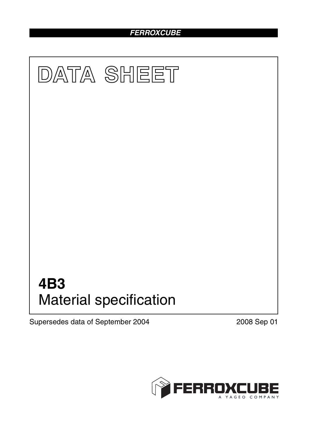## *FERROXCUBE*



Supersedes data of September 2004 2008 Sep 01

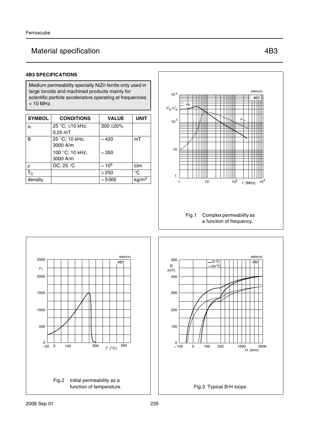# Material specification **AB3** 4B3

#### **4B3 SPECIFICATIONS**

Medium permeability specialty NiZn ferrite only used in large toroids and machined products mainly for scientific particle accelerators operating at frequencies < 10 MHz.

| <b>SYMBOL</b>  | <b>CONDITIONS</b>                    | <b>VALUE</b>   | <b>UNIT</b>       |
|----------------|--------------------------------------|----------------|-------------------|
| μ <sub>i</sub> | 25 °C; ≤10 kHz;<br>$0.25 \text{ mT}$ | $300 + 20%$    |                   |
| B              | 25 °C; 10 kHz;<br>3000 A/m           | $\approx 420$  | mT                |
|                | 100 °C; 10 kHz;<br>3000 A/m          | $\approx 350$  |                   |
| ρ              | DC; 25 $^{\circ}$ C                  | $\approx 10^5$ | $\Omega$ m        |
| $T_{\rm C}$    |                                      | $\geq$ 250     | $^{\circ}$ C      |
| density        |                                      | $\approx 5000$ | kg/m <sup>3</sup> |